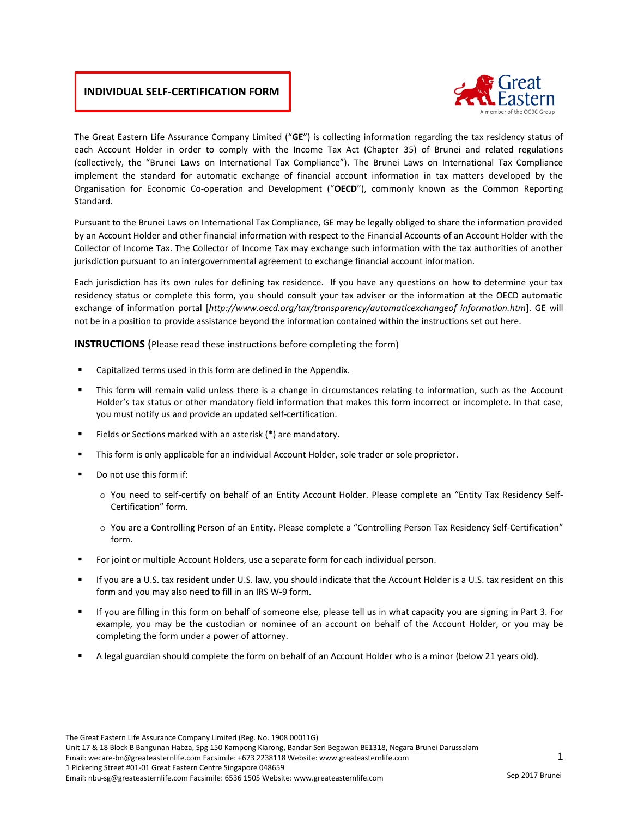### **INDIVIDUAL SELF-CERTIFICATION FORM**



The Great Eastern Life Assurance Company Limited ("**GE**") is collecting information regarding the tax residency status of each Account Holder in order to comply with the Income Tax Act (Chapter 35) of Brunei and related regulations (collectively, the "Brunei Laws on International Tax Compliance"). The Brunei Laws on International Tax Compliance implement the standard for automatic exchange of financial account information in tax matters developed by the Organisation for Economic Co-operation and Development ("**OECD**"), commonly known as the Common Reporting Standard.

Pursuant to the Brunei Laws on International Tax Compliance, GE may be legally obliged to share the information provided by an Account Holder and other financial information with respect to the Financial Accounts of an Account Holder with the Collector of Income Tax. The Collector of Income Tax may exchange such information with the tax authorities of another jurisdiction pursuant to an intergovernmental agreement to exchange financial account information.

Each jurisdiction has its own rules for defining tax residence. If you have any questions on how to determine your tax residency status or complete this form, you should consult your tax adviser or the information at the OECD automatic exchange of information portal [*http://www.oecd.org/tax/transparency/automaticexchangeof information.htm*]. GE will not be in a position to provide assistance beyond the information contained within the instructions set out here.

**INSTRUCTIONS** (Please read these instructions before completing the form)

- Capitalized terms used in this form are defined in the Appendix.
- This form will remain valid unless there is a change in circumstances relating to information, such as the Account Holder's tax status or other mandatory field information that makes this form incorrect or incomplete. In that case, you must notify us and provide an updated self-certification.
- Fields or Sections marked with an asterisk (\*) are mandatory.
- This form is only applicable for an individual Account Holder, sole trader or sole proprietor.
- Do not use this form if:
	- o You need to self-certify on behalf of an Entity Account Holder. Please complete an "Entity Tax Residency Self-Certification" form.
	- o You are a Controlling Person of an Entity. Please complete a "Controlling Person Tax Residency Self-Certification" form.
- For joint or multiple Account Holders, use a separate form for each individual person.
- If you are a U.S. tax resident under U.S. law, you should indicate that the Account Holder is a U.S. tax resident on this form and you may also need to fill in an IRS W-9 form.
- If you are filling in this form on behalf of someone else, please tell us in what capacity you are signing in Part 3. For example, you may be the custodian or nominee of an account on behalf of the Account Holder, or you may be completing the form under a power of attorney.
- A legal guardian should complete the form on behalf of an Account Holder who is a minor (below 21 years old).

The Great Eastern Life Assurance Company Limited (Reg. No. 1908 00011G)

Unit 17 & 18 Block B Bangunan Habza, Spg 150 Kampong Kiarong, Bandar Seri Begawan BE1318, Negara Brunei Darussalam

1 Pickering Street #01-01 Great Eastern Centre Singapore 048659

Email: nbu-sg@greateasternlife.com Facsimile: 6536 1505 Website: www.greateasternlife.com

Email: wecare-bn@greateasternlife.com Facsimile: +673 2238118 Website: www.greateasternlife.com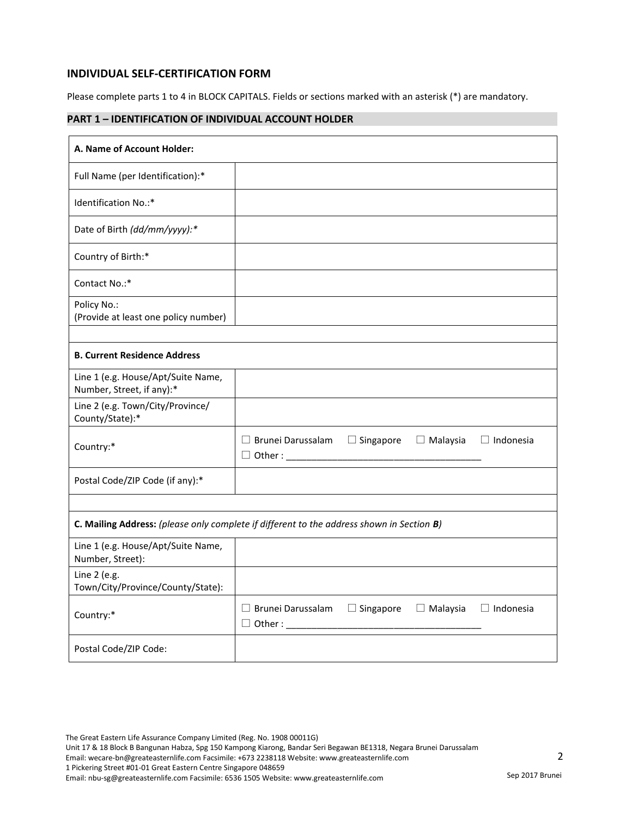### **INDIVIDUAL SELF-CERTIFICATION FORM**

Please complete parts 1 to 4 in BLOCK CAPITALS. Fields or sections marked with an asterisk (\*) are mandatory.

## **PART 1 – IDENTIFICATION OF INDIVIDUAL ACCOUNT HOLDER**

| A. Name of Account Holder:                                                                |                          |                  |                 |                  |
|-------------------------------------------------------------------------------------------|--------------------------|------------------|-----------------|------------------|
| Full Name (per Identification):*                                                          |                          |                  |                 |                  |
| Identification No.:*                                                                      |                          |                  |                 |                  |
| Date of Birth (dd/mm/yyyy):*                                                              |                          |                  |                 |                  |
| Country of Birth:*                                                                        |                          |                  |                 |                  |
| Contact No.:*                                                                             |                          |                  |                 |                  |
| Policy No.:<br>(Provide at least one policy number)                                       |                          |                  |                 |                  |
| <b>B. Current Residence Address</b>                                                       |                          |                  |                 |                  |
| Line 1 (e.g. House/Apt/Suite Name,<br>Number, Street, if any):*                           |                          |                  |                 |                  |
| Line 2 (e.g. Town/City/Province/<br>County/State):*                                       |                          |                  |                 |                  |
| Country:*                                                                                 | $\Box$ Brunei Darussalam | $\Box$ Singapore | $\Box$ Malaysia | $\Box$ Indonesia |
| Postal Code/ZIP Code (if any):*                                                           |                          |                  |                 |                  |
|                                                                                           |                          |                  |                 |                  |
| C. Mailing Address: (please only complete if different to the address shown in Section B) |                          |                  |                 |                  |
| Line 1 (e.g. House/Apt/Suite Name,<br>Number, Street):                                    |                          |                  |                 |                  |
| Line 2 (e.g.<br>Town/City/Province/County/State):                                         |                          |                  |                 |                  |
| Country:*                                                                                 | $\Box$ Brunei Darussalam | $\Box$ Singapore | $\Box$ Malaysia | $\Box$ Indonesia |
| Postal Code/ZIP Code:                                                                     |                          |                  |                 |                  |

Unit 17 & 18 Block B Bangunan Habza, Spg 150 Kampong Kiarong, Bandar Seri Begawan BE1318, Negara Brunei Darussalam

Email: wecare-bn@greateasternlife.com Facsimile: +673 2238118 Website: www.greateasternlife.com

1 Pickering Street #01-01 Great Eastern Centre Singapore 048659

Email: nbu-sg@greateasternlife.com Facsimile: 6536 1505 Website: www.greateasternlife.com

2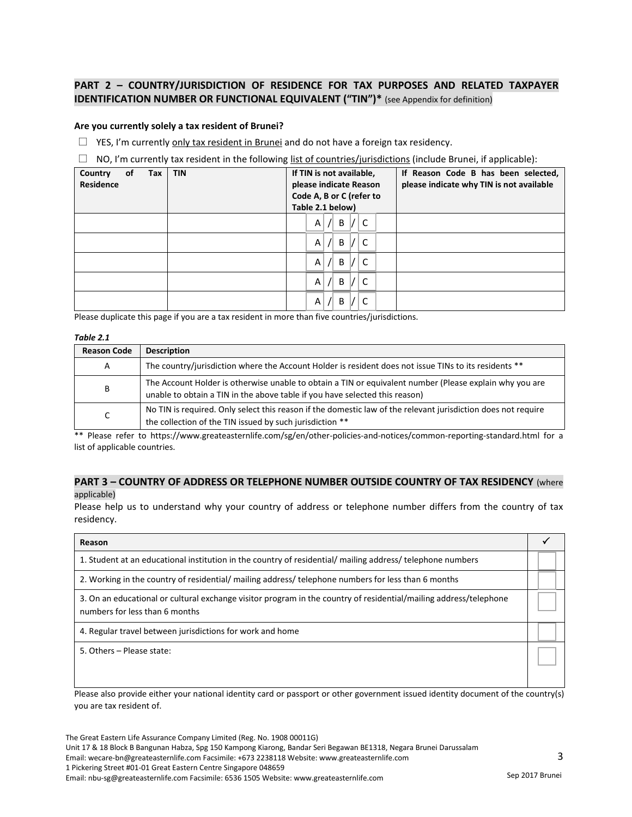## **PART 2 – COUNTRY/JURISDICTION OF RESIDENCE FOR TAX PURPOSES AND RELATED TAXPAYER IDENTIFICATION NUMBER OR FUNCTIONAL EQUIVALENT ("TIN")\*** (see Appendix for definition)

#### **Are you currently solely a tax resident of Brunei?**

 $\Box$  YES, I'm currently only tax resident in Brunei and do not have a foreign tax residency.

 $\Box$  NO, I'm currently tax resident in the following list of countries/jurisdictions (include Brunei, if applicable):

| of<br>Country<br>Tax<br><b>Residence</b> | <b>TIN</b> | If TIN is not available,<br>please indicate Reason<br>Code A, B or C (refer to<br>Table 2.1 below) | If Reason Code B has been selected,<br>please indicate why TIN is not available |
|------------------------------------------|------------|----------------------------------------------------------------------------------------------------|---------------------------------------------------------------------------------|
|                                          |            | B<br>Α<br>$\sqrt{ }$                                                                               |                                                                                 |
|                                          |            | C<br>B<br>Α<br>$\sqrt{ }$                                                                          |                                                                                 |
|                                          |            | C<br>Α<br>B<br>$\sqrt{2}$                                                                          |                                                                                 |
|                                          |            | C<br>Α<br>B<br>$\sqrt{ }$                                                                          |                                                                                 |
|                                          |            | Α<br>B<br>$\sqrt{2}$                                                                               |                                                                                 |

Please duplicate this page if you are a tax resident in more than five countries/jurisdictions.

#### *Table 2.1*

| <b>Reason Code</b> | <b>Description</b>                                                                                                                                                                     |
|--------------------|----------------------------------------------------------------------------------------------------------------------------------------------------------------------------------------|
| A                  | The country/jurisdiction where the Account Holder is resident does not issue TINs to its residents **                                                                                  |
| В                  | The Account Holder is otherwise unable to obtain a TIN or equivalent number (Please explain why you are<br>unable to obtain a TIN in the above table if you have selected this reason) |
|                    | No TIN is required. Only select this reason if the domestic law of the relevant jurisdiction does not require<br>the collection of the TIN issued by such jurisdiction **              |

\*\* Please refer to https://www.greateasternlife.com/sg/en/other-policies-and-notices/common-reporting-standard.html for a list of applicable countries.

### **PART 3 – COUNTRY OF ADDRESS OR TELEPHONE NUMBER OUTSIDE COUNTRY OF TAX RESIDENCY** (where applicable)

Please help us to understand why your country of address or telephone number differs from the country of tax residency.

| Reason                                                                                                                                              |  |
|-----------------------------------------------------------------------------------------------------------------------------------------------------|--|
| 1. Student at an educational institution in the country of residential/mailing address/ telephone numbers                                           |  |
| 2. Working in the country of residential/mailing address/telephone numbers for less than 6 months                                                   |  |
| 3. On an educational or cultural exchange visitor program in the country of residential/mailing address/telephone<br>numbers for less than 6 months |  |
| 4. Regular travel between jurisdictions for work and home                                                                                           |  |
| 5. Others - Please state:                                                                                                                           |  |

Please also provide either your national identity card or passport or other government issued identity document of the country(s) you are tax resident of.

The Great Eastern Life Assurance Company Limited (Reg. No. 1908 00011G) Unit 17 & 18 Block B Bangunan Habza, Spg 150 Kampong Kiarong, Bandar Seri Begawan BE1318, Negara Brunei Darussalam Email: wecare-bn@greateasternlife.com Facsimile: +673 2238118 Website: www.greateasternlife.com 1 Pickering Street #01-01 Great Eastern Centre Singapore 048659 Email: nbu-sg@greateasternlife.com Facsimile: 6536 1505 Website: www.greateasternlife.com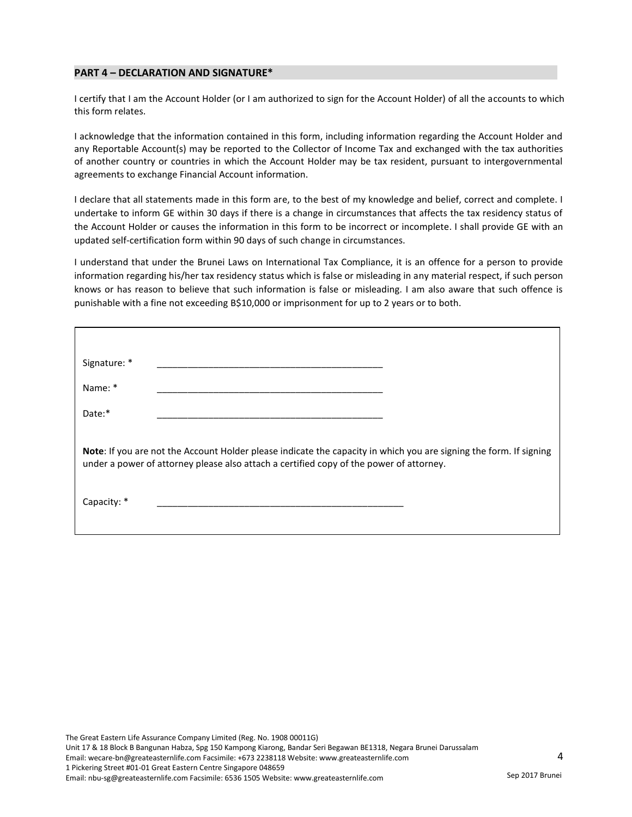#### **PART 4 – DECLARATION AND SIGNATURE\***

I certify that I am the Account Holder (or I am authorized to sign for the Account Holder) of all the accounts to which this form relates.

I acknowledge that the information contained in this form, including information regarding the Account Holder and any Reportable Account(s) may be reported to the Collector of Income Tax and exchanged with the tax authorities of another country or countries in which the Account Holder may be tax resident, pursuant to intergovernmental agreements to exchange Financial Account information.

I declare that all statements made in this form are, to the best of my knowledge and belief, correct and complete. I undertake to inform GE within 30 days if there is a change in circumstances that affects the tax residency status of the Account Holder or causes the information in this form to be incorrect or incomplete. I shall provide GE with an updated self-certification form within 90 days of such change in circumstances.

I understand that under the Brunei Laws on International Tax Compliance, it is an offence for a person to provide information regarding his/her tax residency status which is false or misleading in any material respect, if such person knows or has reason to believe that such information is false or misleading. I am also aware that such offence is punishable with a fine not exceeding B\$10,000 or imprisonment for up to 2 years or to both.

| Signature: *                                                                                                                                                                                                  |  |
|---------------------------------------------------------------------------------------------------------------------------------------------------------------------------------------------------------------|--|
| Name: *                                                                                                                                                                                                       |  |
| Date:*                                                                                                                                                                                                        |  |
| Note: If you are not the Account Holder please indicate the capacity in which you are signing the form. If signing<br>under a power of attorney please also attach a certified copy of the power of attorney. |  |
| Capacity: *                                                                                                                                                                                                   |  |
|                                                                                                                                                                                                               |  |